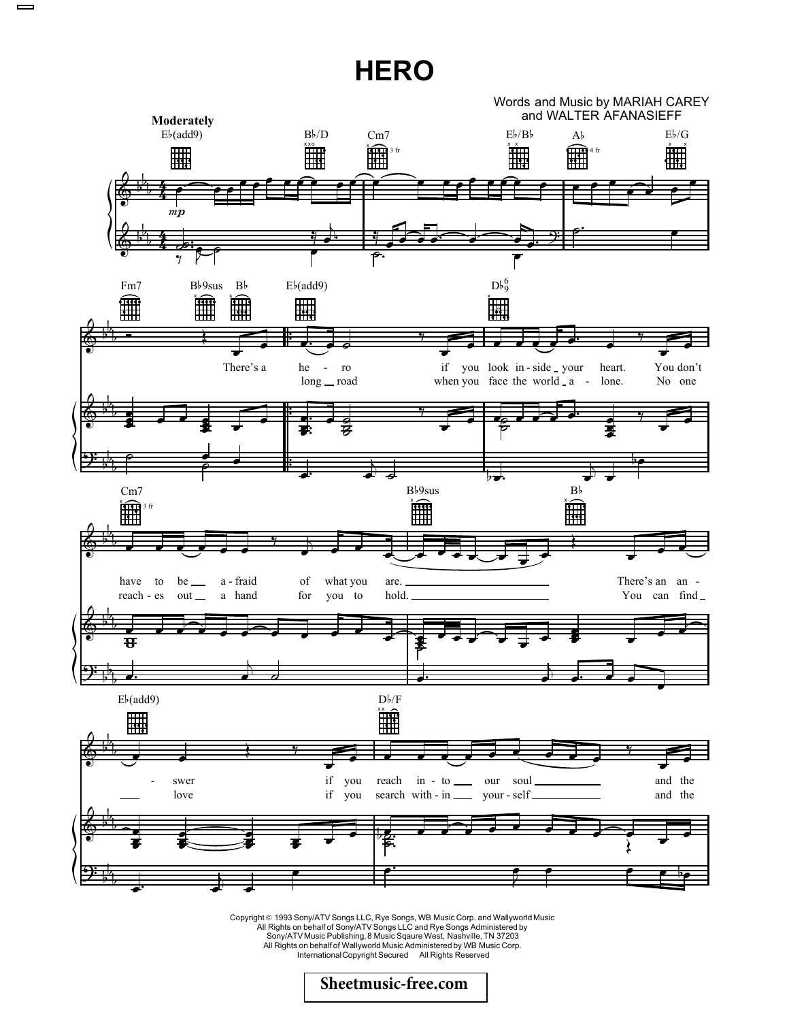## **HERO**



Copyright © 1993 Sony/ATV Songs LLC, Rye Songs, WB Music Corp. and Wallyworld Music<br>All Rights on behalf of Sony/ATV Songs LLC and Rye Songs Administered by<br>Sony/ATV Music Publishing, 8 Music Sqaure West, Nashville, TN 37 All Rights on behalf of Wallyworld Music Administered by WB Music Corp. InternationalCopyright Secured All Rights Reserved

**[Sheetmusic-free.com](http://sheetmusic-free.com/)**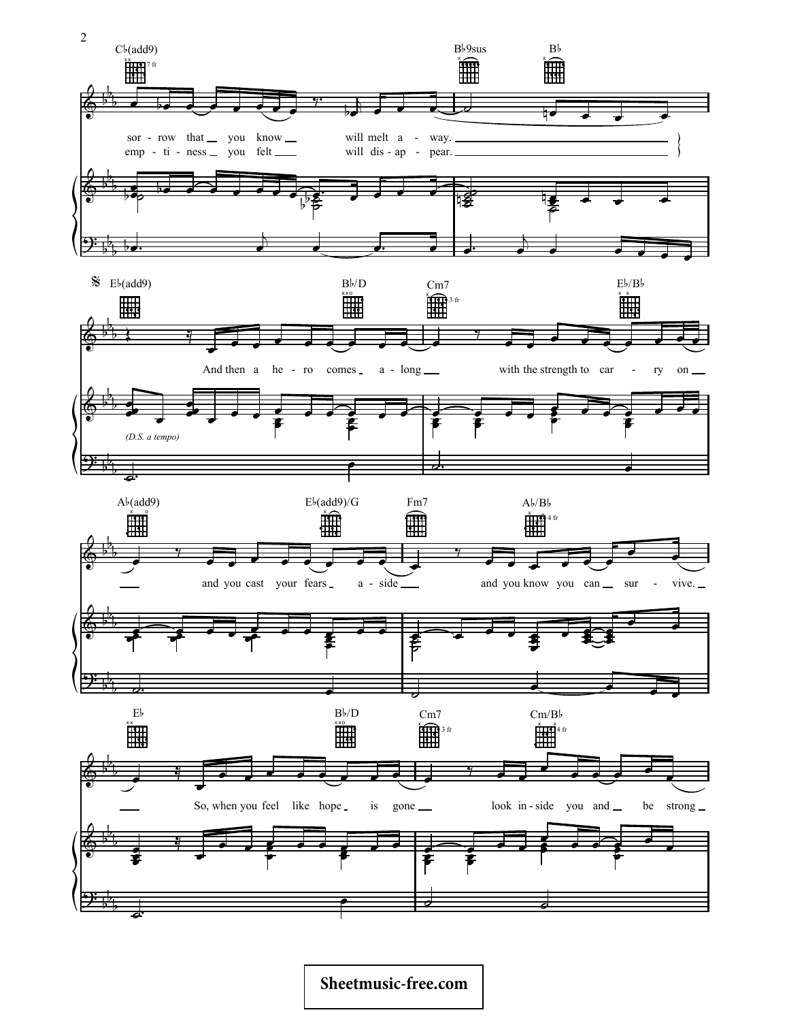

## **[Sheetmusic-free.com](http://sheetmusic-free.com/)**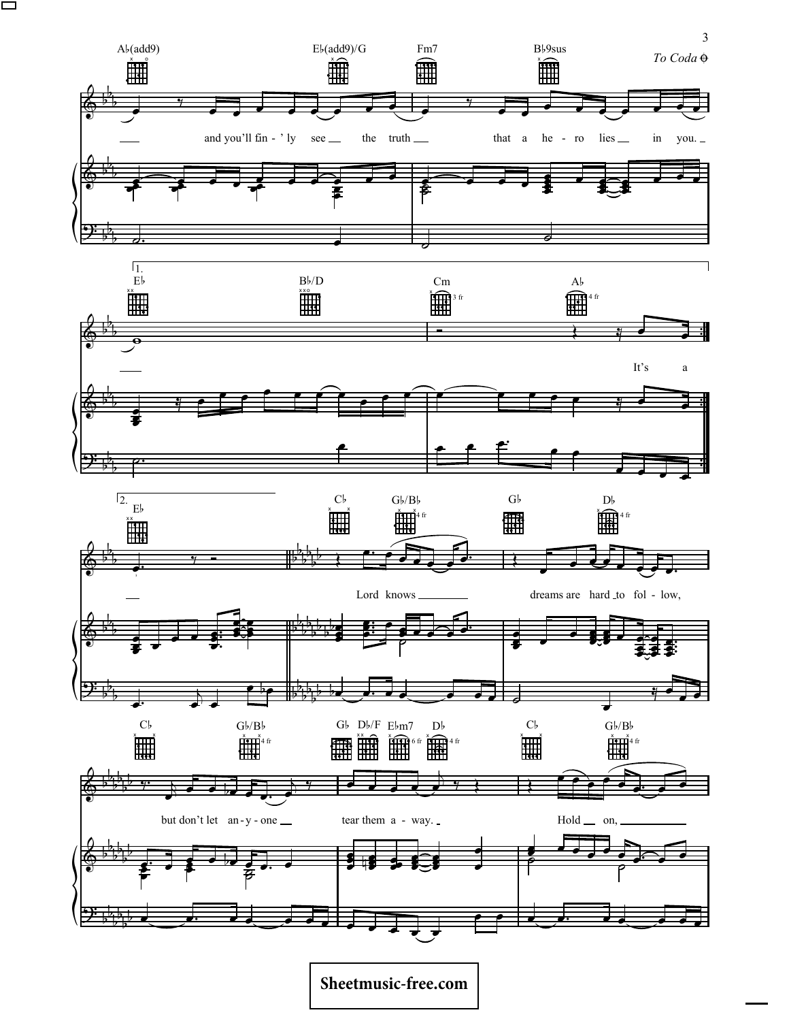

Sheetmusic-free.com

 $\overline{3}$